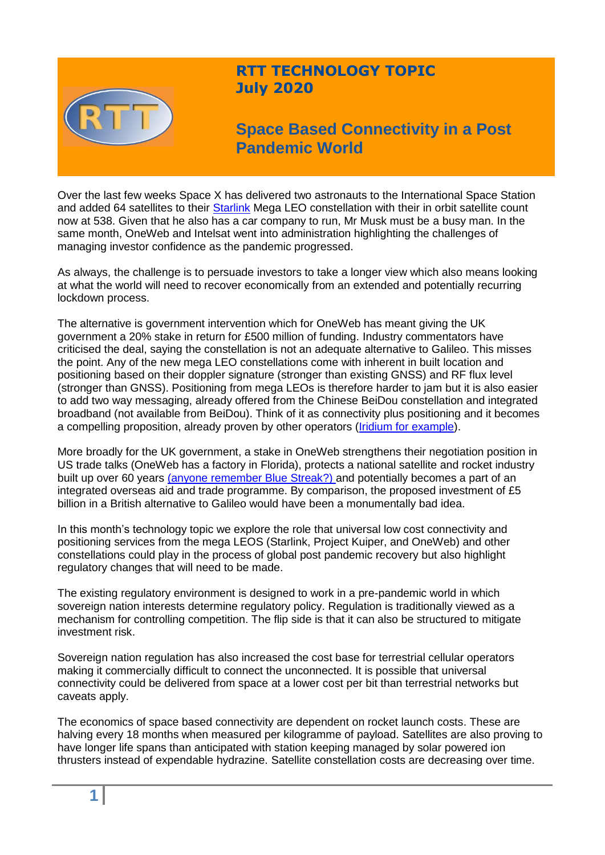

## **RTT TECHNOLOGY TOPIC July 2020**

# **Space Based Connectivity in a Post Pandemic World**

Over the last few weeks Space X has delivered two astronauts to the International Space Station and added 64 satellites to their [Starlink](https://findstarlink.com/) Mega LEO constellation with their in orbit satellite count now at 538. Given that he also has a car company to run, Mr Musk must be a busy man. In the same month, OneWeb and Intelsat went into administration highlighting the challenges of managing investor confidence as the pandemic progressed.

As always, the challenge is to persuade investors to take a longer view which also means looking at what the world will need to recover economically from an extended and potentially recurring lockdown process.

The alternative is government intervention which for OneWeb has meant giving the UK government a 20% stake in return for £500 million of funding. Industry commentators have criticised the deal, saying the constellation is not an adequate alternative to Galileo. This misses the point. Any of the new mega LEO constellations come with inherent in built location and positioning based on their doppler signature (stronger than existing GNSS) and RF flux level (stronger than GNSS). Positioning from mega LEOs is therefore harder to jam but it is also easier to add two way messaging, already offered from the Chinese BeiDou constellation and integrated broadband (not available from BeiDou). Think of it as connectivity plus positioning and it becomes a compelling proposition, already proven by other operators [\(Iridium for example\)](https://www.reuters.com/article/us-iridium-gps-idUSKCN0YE1HZ).

More broadly for the UK government, a stake in OneWeb strengthens their negotiation position in US trade talks (OneWeb has a factory in Florida), protects a national satellite and rocket industry built up over 60 years [\(anyone remember Blue Streak?\)](https://media.nationalarchives.gov.uk/index.php/the-blue-streak-rocket/) and potentially becomes a part of an integrated overseas aid and trade programme. By comparison, the proposed investment of £5 billion in a British alternative to Galileo would have been a monumentally bad idea.

In this month's technology topic we explore the role that universal low cost connectivity and positioning services from the mega LEOS (Starlink, Project Kuiper, and OneWeb) and other constellations could play in the process of global post pandemic recovery but also highlight regulatory changes that will need to be made.

The existing regulatory environment is designed to work in a pre-pandemic world in which sovereign nation interests determine regulatory policy. Regulation is traditionally viewed as a mechanism for controlling competition. The flip side is that it can also be structured to mitigate investment risk.

Sovereign nation regulation has also increased the cost base for terrestrial cellular operators making it commercially difficult to connect the unconnected. It is possible that universal connectivity could be delivered from space at a lower cost per bit than terrestrial networks but caveats apply.

The economics of space based connectivity are dependent on rocket launch costs. These are halving every 18 months when measured per kilogramme of payload. Satellites are also proving to have longer life spans than anticipated with station keeping managed by solar powered ion thrusters instead of expendable hydrazine. Satellite constellation costs are decreasing over time.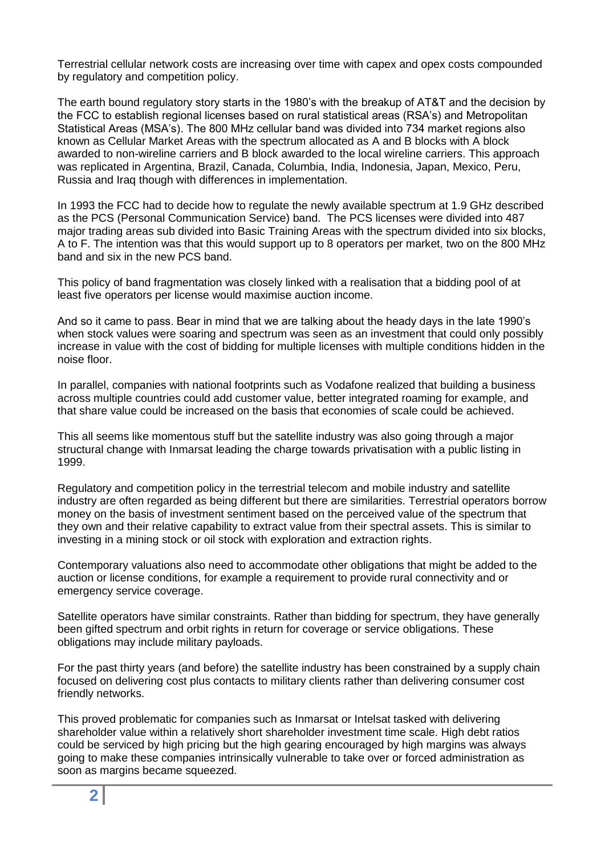Terrestrial cellular network costs are increasing over time with capex and opex costs compounded by regulatory and competition policy.

The earth bound regulatory story starts in the 1980's with the breakup of AT&T and the decision by the FCC to establish regional licenses based on rural statistical areas (RSA's) and Metropolitan Statistical Areas (MSA's). The 800 MHz cellular band was divided into 734 market regions also known as Cellular Market Areas with the spectrum allocated as A and B blocks with A block awarded to non-wireline carriers and B block awarded to the local wireline carriers. This approach was replicated in Argentina, Brazil, Canada, Columbia, India, Indonesia, Japan, Mexico, Peru, Russia and Iraq though with differences in implementation.

In 1993 the FCC had to decide how to regulate the newly available spectrum at 1.9 GHz described as the PCS (Personal Communication Service) band. The PCS licenses were divided into 487 major trading areas sub divided into Basic Training Areas with the spectrum divided into six blocks, A to F. The intention was that this would support up to 8 operators per market, two on the 800 MHz band and six in the new PCS band.

This policy of band fragmentation was closely linked with a realisation that a bidding pool of at least five operators per license would maximise auction income.

And so it came to pass. Bear in mind that we are talking about the heady days in the late 1990's when stock values were soaring and spectrum was seen as an investment that could only possibly increase in value with the cost of bidding for multiple licenses with multiple conditions hidden in the noise floor.

In parallel, companies with national footprints such as Vodafone realized that building a business across multiple countries could add customer value, better integrated roaming for example, and that share value could be increased on the basis that economies of scale could be achieved.

This all seems like momentous stuff but the satellite industry was also going through a major structural change with Inmarsat leading the charge towards privatisation with a public listing in 1999.

Regulatory and competition policy in the terrestrial telecom and mobile industry and satellite industry are often regarded as being different but there are similarities. Terrestrial operators borrow money on the basis of investment sentiment based on the perceived value of the spectrum that they own and their relative capability to extract value from their spectral assets. This is similar to investing in a mining stock or oil stock with exploration and extraction rights.

Contemporary valuations also need to accommodate other obligations that might be added to the auction or license conditions, for example a requirement to provide rural connectivity and or emergency service coverage.

Satellite operators have similar constraints. Rather than bidding for spectrum, they have generally been gifted spectrum and orbit rights in return for coverage or service obligations. These obligations may include military payloads.

For the past thirty years (and before) the satellite industry has been constrained by a supply chain focused on delivering cost plus contacts to military clients rather than delivering consumer cost friendly networks.

This proved problematic for companies such as Inmarsat or Intelsat tasked with delivering shareholder value within a relatively short shareholder investment time scale. High debt ratios could be serviced by high pricing but the high gearing encouraged by high margins was always going to make these companies intrinsically vulnerable to take over or forced administration as soon as margins became squeezed.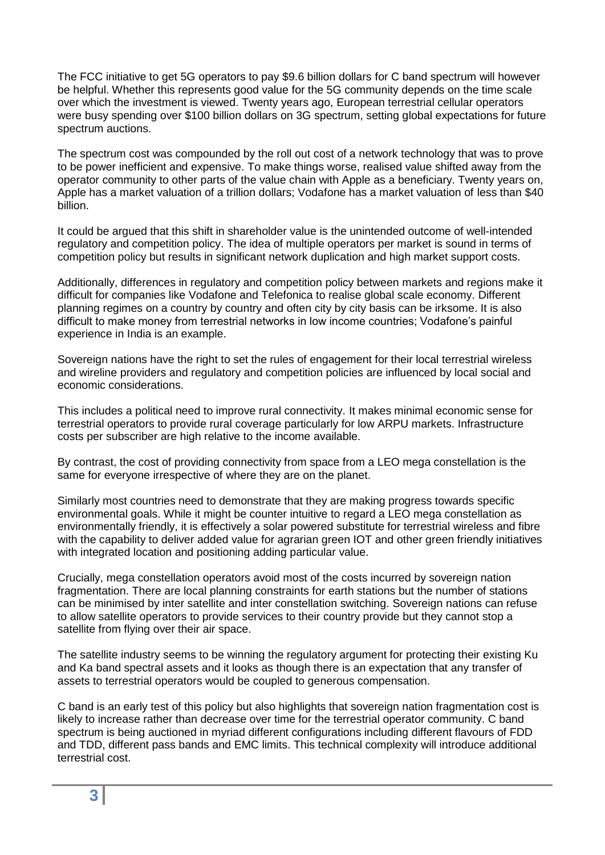The FCC initiative to get 5G operators to pay \$9.6 billion dollars for C band spectrum will however be helpful. Whether this represents good value for the 5G community depends on the time scale over which the investment is viewed. Twenty years ago, European terrestrial cellular operators were busy spending over \$100 billion dollars on 3G spectrum, setting global expectations for future spectrum auctions.

The spectrum cost was compounded by the roll out cost of a network technology that was to prove to be power inefficient and expensive. To make things worse, realised value shifted away from the operator community to other parts of the value chain with Apple as a beneficiary. Twenty years on, Apple has a market valuation of a trillion dollars; Vodafone has a market valuation of less than \$40 billion.

It could be argued that this shift in shareholder value is the unintended outcome of well-intended regulatory and competition policy. The idea of multiple operators per market is sound in terms of competition policy but results in significant network duplication and high market support costs.

Additionally, differences in regulatory and competition policy between markets and regions make it difficult for companies like Vodafone and Telefonica to realise global scale economy. Different planning regimes on a country by country and often city by city basis can be irksome. It is also difficult to make money from terrestrial networks in low income countries; Vodafone's painful experience in India is an example.

Sovereign nations have the right to set the rules of engagement for their local terrestrial wireless and wireline providers and regulatory and competition policies are influenced by local social and economic considerations.

This includes a political need to improve rural connectivity. It makes minimal economic sense for terrestrial operators to provide rural coverage particularly for low ARPU markets. Infrastructure costs per subscriber are high relative to the income available.

By contrast, the cost of providing connectivity from space from a LEO mega constellation is the same for everyone irrespective of where they are on the planet.

Similarly most countries need to demonstrate that they are making progress towards specific environmental goals. While it might be counter intuitive to regard a LEO mega constellation as environmentally friendly, it is effectively a solar powered substitute for terrestrial wireless and fibre with the capability to deliver added value for agrarian green IOT and other green friendly initiatives with integrated location and positioning adding particular value.

Crucially, mega constellation operators avoid most of the costs incurred by sovereign nation fragmentation. There are local planning constraints for earth stations but the number of stations can be minimised by inter satellite and inter constellation switching. Sovereign nations can refuse to allow satellite operators to provide services to their country provide but they cannot stop a satellite from flying over their air space.

The satellite industry seems to be winning the regulatory argument for protecting their existing Ku and Ka band spectral assets and it looks as though there is an expectation that any transfer of assets to terrestrial operators would be coupled to generous compensation.

C band is an early test of this policy but also highlights that sovereign nation fragmentation cost is likely to increase rather than decrease over time for the terrestrial operator community. C band spectrum is being auctioned in myriad different configurations including different flavours of FDD and TDD, different pass bands and EMC limits. This technical complexity will introduce additional terrestrial cost.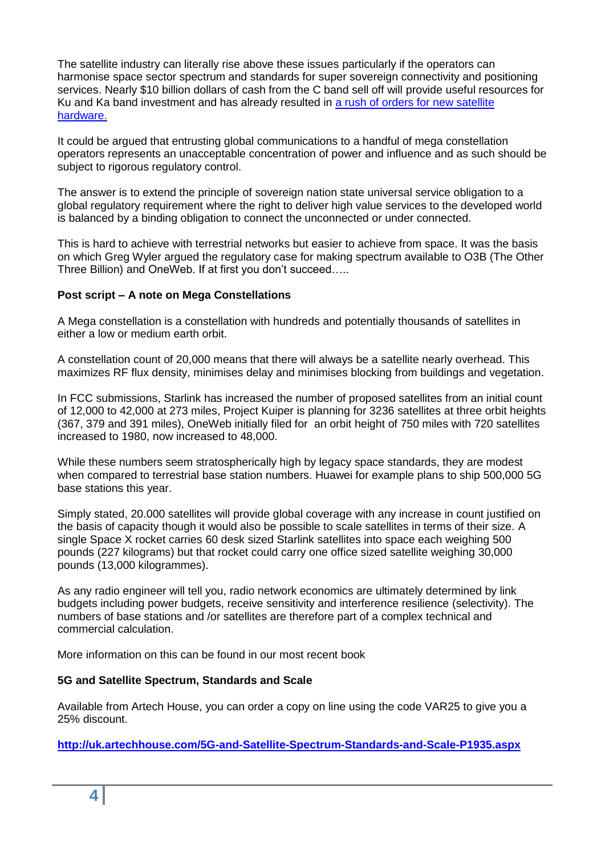The satellite industry can literally rise above these issues particularly if the operators can harmonise space sector spectrum and standards for super sovereign connectivity and positioning services. Nearly \$10 billion dollars of cash from the C band sell off will provide useful resources for Ku and Ka band investment and has already resulted in [a rush of orders for new satellite](https://www.telecompaper.com/news/ses-orders-new-satellites-to-comply-with-c-band-clearance-plan--1342722)  [hardware.](https://www.telecompaper.com/news/ses-orders-new-satellites-to-comply-with-c-band-clearance-plan--1342722)

It could be argued that entrusting global communications to a handful of mega constellation operators represents an unacceptable concentration of power and influence and as such should be subject to rigorous regulatory control.

The answer is to extend the principle of sovereign nation state universal service obligation to a global regulatory requirement where the right to deliver high value services to the developed world is balanced by a binding obligation to connect the unconnected or under connected.

This is hard to achieve with terrestrial networks but easier to achieve from space. It was the basis on which Greg Wyler argued the regulatory case for making spectrum available to O3B (The Other Three Billion) and OneWeb. If at first you don't succeed…..

#### **Post script – A note on Mega Constellations**

A Mega constellation is a constellation with hundreds and potentially thousands of satellites in either a low or medium earth orbit.

A constellation count of 20,000 means that there will always be a satellite nearly overhead. This maximizes RF flux density, minimises delay and minimises blocking from buildings and vegetation.

In FCC submissions, Starlink has increased the number of proposed satellites from an initial count of 12,000 to 42,000 at 273 miles, Project Kuiper is planning for 3236 satellites at three orbit heights (367, 379 and 391 miles), OneWeb initially filed for an orbit height of 750 miles with 720 satellites increased to 1980, now increased to 48,000.

While these numbers seem stratospherically high by legacy space standards, they are modest when compared to terrestrial base station numbers. Huawei for example plans to ship 500,000 5G base stations this year.

Simply stated, 20.000 satellites will provide global coverage with any increase in count justified on the basis of capacity though it would also be possible to scale satellites in terms of their size. A single Space X rocket carries 60 desk sized Starlink satellites into space each weighing 500 pounds (227 kilograms) but that rocket could carry one office sized satellite weighing 30,000 pounds (13,000 kilogrammes).

As any radio engineer will tell you, radio network economics are ultimately determined by link budgets including power budgets, receive sensitivity and interference resilience (selectivity). The numbers of base stations and /or satellites are therefore part of a complex technical and commercial calculation.

More information on this can be found in our most recent book

#### **5G and Satellite Spectrum, Standards and Scale**

Available from Artech House, you can order a copy on line using the code VAR25 to give you a 25% discount.

**<http://uk.artechhouse.com/5G-and-Satellite-Spectrum-Standards-and-Scale-P1935.aspx>**